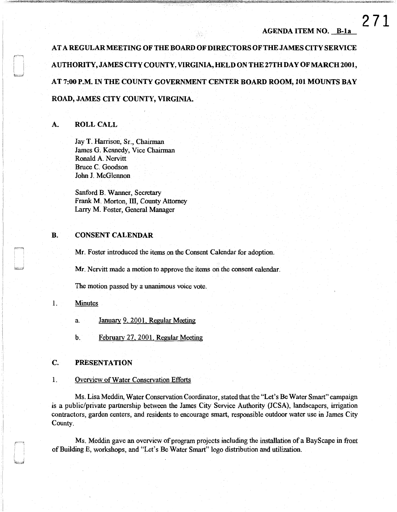## AGENDA ITEM NO. B-1a

AT A REGULAR MEETING OF THE BOARD OF DIRECTORS OF THE JAMES CITY SERVICE AUTHORITY, JAMES CITY COUNTY, VIRGINIA, HELD ON THE 27TH DAY OF MARCH 2001, AT 7:00 P.M. IN THE COUNTY GOVERNMENT CENTER BOARD ROOM, 101 MOUNTS BAY ROAD, JAMES CITY COUNTY, VIRGINIA.

#### A. ROLL CALL

Jay T. Harrison, Sr., Chairman James G. Kennedy, Vice Chairman Ronald A. Nervitt Bruce C. Goodson John J. McGlennon

Sanford B. Wanner, Secretary Frank M. Morton, III, County Attorney Larry M. Foster, General Manager

## B. CONSENT CALENDAR

Mr. Foster introduced the items on the Consent Calendar for adoption.

Mr. Nervitt made a motion to approve the items on the consent calendar.

The motion passed by a unanimous voice vote.

## 1. Minutes

- a. Januarv 9, 2001, Regular Meeting
- b. February 27, 2001, Regular Meeting

#### C. PRESENTATION

#### 1. Overview of Water Conservation Efforts

Ms. Lisa Meddin, Water Conservation Coordinator, stated that the "Let's Be Water Smart" campaign is a public/private partnership between the James City Service Authority (JCSA), landscapers, irrigation contractors, garden centers, and residents to encourage smart, responsible outdoor water use in James City County.

Ms. Meddin gave an overview of program projects including the installation of a BayScape in front of Building E, workshops, and "Let's Be Water Smart" logo distribution and utilization.